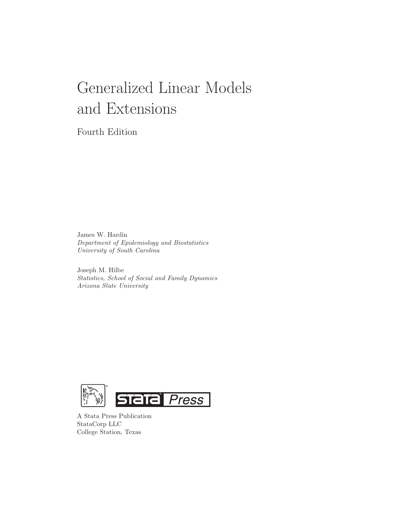# Generalized Linear Models and Extensions

Fourth Edition

James W. Hardin Department of Epidemiology and Biostatistics University of South Carolina

Joseph M. Hilbe Statistics, School of Social and Family Dynamics Arizona State University



A Stata Press Publication StataCorp LLC College Station, Texas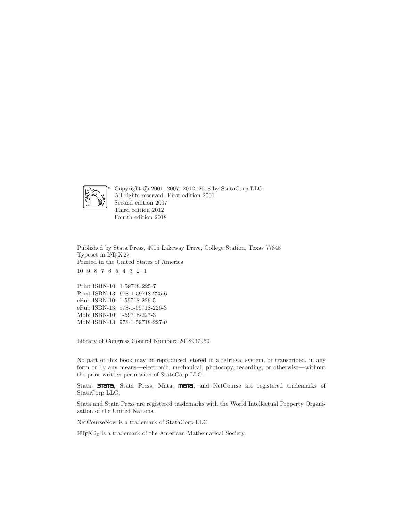

Copyright © 2001, 2007, 2012, 2018 by StataCorp LLC All rights reserved. First edition 2001 Second edition 2007 Third edition 2012 Fourth edition 2018

Published by Stata Press, 4905 Lakeway Drive, College Station, Texas 77845 Typeset in  $\mathbb{F}$ F<sub>E</sub>X  $2\varepsilon$ Printed in the United States of America 10 9 8 7 6 5 4 3 2 1

Print ISBN-10: 1-59718-225-7 Print ISBN-13: 978-1-59718-225-6 ePub ISBN-10: 1-59718-226-5 ePub ISBN-13: 978-1-59718-226-3 Mobi ISBN-10: 1-59718-227-3 Mobi ISBN-13: 978-1-59718-227-0

Library of Congress Control Number: 2018937959

No part of this book may be reproduced, stored in a retrieval system, or transcribed, in any form or by any means—electronic, mechanical, photocopy, recording, or otherwise—without the prior written permission of StataCorp LLC.

Stata, **Stata**, Stata Press, Mata, **mata**, and NetCourse are registered trademarks of StataCorp LLC.

Stata and Stata Press are registered trademarks with the World Intellectual Property Organization of the United Nations.

NetCourseNow is a trademark of StataCorp LLC.

 $\mathbb{F}\to \mathbb{F}$ 2 $\varepsilon$  is a trademark of the American Mathematical Society.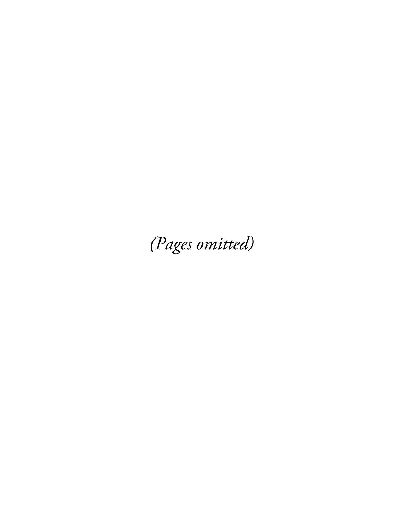(Pages omitted)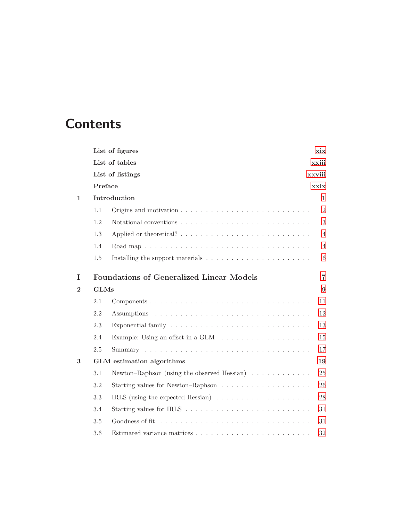# **Contents**

|              |             | List of figures<br>xix                                                                   |       |  |  |
|--------------|-------------|------------------------------------------------------------------------------------------|-------|--|--|
|              |             | List of tables                                                                           | xxiii |  |  |
|              |             | List of listings<br>xxviii                                                               |       |  |  |
|              | Preface     | xxix                                                                                     |       |  |  |
| 1            |             | Introduction<br>1                                                                        |       |  |  |
|              | 1.1         | $\sqrt{2}$                                                                               |       |  |  |
|              | 1.2         | 3                                                                                        |       |  |  |
|              | 1.3         | $\overline{4}$                                                                           |       |  |  |
|              | 1.4         | $\overline{4}$                                                                           |       |  |  |
|              | 1.5         | Installing the support materials $\ldots \ldots \ldots \ldots \ldots \ldots \ldots$<br>6 |       |  |  |
| Т            |             | <b>Foundations of Generalized Linear Models</b><br>7                                     |       |  |  |
| $\mathbf{2}$ | <b>GLMs</b> | 9                                                                                        |       |  |  |
|              | 2.1         | 11                                                                                       |       |  |  |
|              | 2.2         | 12                                                                                       |       |  |  |
|              | 2.3         | 13                                                                                       |       |  |  |
|              | 2.4         | 15                                                                                       |       |  |  |
|              | 2.5         | 17                                                                                       |       |  |  |
| 3            |             | GLM estimation algorithms<br>19                                                          |       |  |  |
|              | 3.1         | Newton-Raphson (using the observed Hessian) $\ldots \ldots \ldots \ldots$<br>25          |       |  |  |
|              | 3.2         | 26                                                                                       |       |  |  |
|              | 3.3         | IRLS (using the expected Hessian) $\dots \dots \dots \dots \dots \dots$<br>28            |       |  |  |
|              | 3.4         | Starting values for IRLS $\ldots \ldots \ldots \ldots \ldots \ldots \ldots \ldots$<br>31 |       |  |  |
|              | 3.5         | 31                                                                                       |       |  |  |
|              | 3.6         | $32\,$                                                                                   |       |  |  |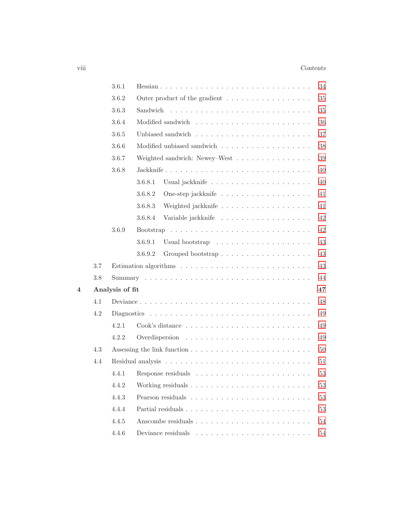### viii Contents

|   |     | 3.6.1           |                                                                               | 34 |
|---|-----|-----------------|-------------------------------------------------------------------------------|----|
|   |     | 3.6.2           | $35\,$<br>Outer product of the gradient $\dots \dots \dots \dots \dots \dots$ |    |
|   |     | 3.6.3           | $35\,$                                                                        |    |
|   |     | 3.6.4           | 36                                                                            |    |
|   |     | 3.6.5           | 37                                                                            |    |
|   |     | 3.6.6           | 38                                                                            |    |
|   |     | 3.6.7           | Weighted sandwich: Newey-West<br>$39\,$                                       |    |
|   |     | 3.6.8           | 40                                                                            |    |
|   |     |                 | 3.6.8.1<br>40                                                                 |    |
|   |     |                 | 3.6.8.2<br>41                                                                 |    |
|   |     |                 | 3.6.8.3<br>41                                                                 |    |
|   |     |                 | 42<br>3.6.8.4<br>Variable jackknife                                           |    |
|   |     | 3.6.9           | 42<br>Bootstrap                                                               |    |
|   |     |                 | 43<br>3.6.9.1                                                                 |    |
|   |     |                 | 43<br>3.6.9.2                                                                 |    |
|   | 3.7 |                 | 43                                                                            |    |
|   | 3.8 |                 |                                                                               | 44 |
| 4 |     | Analysis of fit | 47                                                                            |    |
|   | 4.1 |                 | 48<br>Deviance                                                                |    |
|   | 4.2 |                 | 49                                                                            |    |
|   |     | 4.2.1           | 49                                                                            |    |
|   |     | 4.2.2           | 49                                                                            |    |
|   | 4.3 |                 | 50                                                                            |    |
|   | 4.4 |                 | 51                                                                            |    |
|   |     | 4.4.1           | $53\,$                                                                        |    |
|   |     | 4.4.2           | 53                                                                            |    |
|   |     | 4.4.3           | $53\,$                                                                        |    |
|   |     | 4.4.4           | 53                                                                            |    |
|   |     | 4.4.5           | 54                                                                            |    |
|   |     | 4.4.6           | 54                                                                            |    |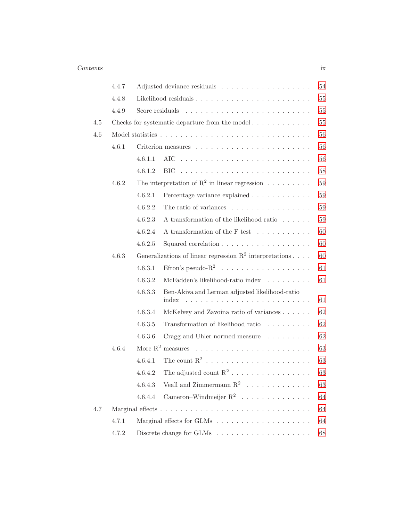|         | 4.4.7 |                 |                                                                     | $54\,$ |
|---------|-------|-----------------|---------------------------------------------------------------------|--------|
|         | 4.4.8 |                 |                                                                     | $55\,$ |
|         | 4.4.9 | Score residuals |                                                                     | $55\,$ |
| 4.5     |       |                 |                                                                     | $55\,$ |
| $4.6\,$ |       |                 |                                                                     | 56     |
|         | 4.6.1 |                 |                                                                     | 56     |
|         |       | 4.6.1.1         |                                                                     | 56     |
|         |       | 4.6.1.2         |                                                                     | $58\,$ |
|         | 4.6.2 |                 | The interpretation of $\mathbb{R}^2$ in linear regression           | 59     |
|         |       | 4.6.2.1         | Percentage variance explained                                       | $59\,$ |
|         |       | 4.6.2.2         | The ratio of variances $\dots \dots \dots \dots \dots$              | $59\,$ |
|         |       | 4.6.2.3         | A transformation of the likelihood ratio                            | $59\,$ |
|         |       | 4.6.2.4         | A transformation of the F test                                      | 60     |
|         |       | 4.6.2.5         |                                                                     | 60     |
|         | 4.6.3 |                 | Generalizations of linear regression $\mathbb{R}^2$ interpretations | 60     |
|         |       | 4.6.3.1         | Efron's pseudo- $R^2$                                               | 61     |
|         |       | 4.6.3.2         | McFadden's likelihood-ratio index                                   | 61     |
|         |       | 4.6.3.3         | Ben-Akiva and Lerman adjusted likelihood-ratio<br>index             | 61     |
|         |       | 4.6.3.4         | McKelvey and Zavoina ratio of variances                             | 62     |
|         |       | 4.6.3.5         | Transformation of likelihood ratio                                  | 62     |
|         |       | 4.6.3.6         | Cragg and Uhler normed measure                                      | 62     |
|         | 4.6.4 |                 |                                                                     | 63     |
|         |       | 4.6.4.1         |                                                                     | 63     |
|         |       | 4.6.4.2         | The adjusted count $\mathbb{R}^2$                                   | $63\,$ |
|         |       | 4.6.4.3         | Veall and Zimmermann $\mathbb{R}^2$                                 | $63\,$ |
|         |       | 4.6.4.4         | Cameron–Windmeijer $\mathbb{R}^2$                                   | $64\,$ |
| 4.7     |       |                 |                                                                     | $64\,$ |
|         | 4.7.1 |                 |                                                                     | $64\,$ |
|         | 4.7.2 |                 |                                                                     | 68     |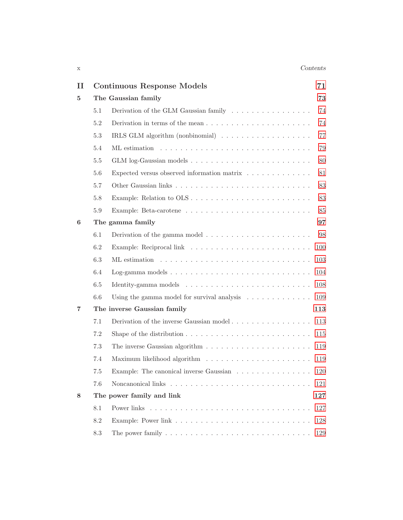### x Contents

| п              |     | <b>Continuous Response Models</b><br>71                                                                     |     |  |  |  |
|----------------|-----|-------------------------------------------------------------------------------------------------------------|-----|--|--|--|
| $\overline{5}$ |     | The Gaussian family                                                                                         | 73  |  |  |  |
|                | 5.1 | Derivation of the GLM Gaussian family                                                                       | 74  |  |  |  |
|                | 5.2 | Derivation in terms of the mean $\dots \dots \dots \dots \dots \dots \dots \dots$                           | 74  |  |  |  |
|                | 5.3 | IRLS GLM algorithm (nonbinomial) $\ldots \ldots \ldots \ldots \ldots \ldots$                                | 77  |  |  |  |
|                | 5.4 |                                                                                                             | 79  |  |  |  |
|                | 5.5 |                                                                                                             | 80  |  |  |  |
|                | 5.6 | Expected versus observed information matrix                                                                 | 81  |  |  |  |
|                | 5.7 |                                                                                                             | 83  |  |  |  |
|                | 5.8 |                                                                                                             | 83  |  |  |  |
|                | 5.9 |                                                                                                             | 85  |  |  |  |
| 6              |     | The gamma family                                                                                            | 97  |  |  |  |
|                | 6.1 | Derivation of the gamma model $\dots \dots \dots \dots \dots \dots \dots \dots$                             | 98  |  |  |  |
|                | 6.2 |                                                                                                             | 100 |  |  |  |
|                | 6.3 |                                                                                                             | 103 |  |  |  |
|                | 6.4 |                                                                                                             | 104 |  |  |  |
|                | 6.5 |                                                                                                             | 108 |  |  |  |
|                | 6.6 | Using the gamma model for survival analysis $\ldots \ldots \ldots \ldots$                                   | 109 |  |  |  |
| 7              |     | The inverse Gaussian family                                                                                 | 113 |  |  |  |
|                | 7.1 | Derivation of the inverse Gaussian model                                                                    | 113 |  |  |  |
|                | 7.2 | Shape of the distribution $\dots \dots \dots \dots \dots \dots \dots \dots \dots$                           | 115 |  |  |  |
|                | 7.3 |                                                                                                             | 119 |  |  |  |
|                | 7.4 | Maximum likelihood algorithm $\ldots \ldots \ldots \ldots \ldots \ldots \ldots$                             | 119 |  |  |  |
|                | 7.5 | Example: The canonical inverse Gaussian $\phantom{a} \ldots \phantom{a} \ldots \ldots \ldots \ldots \ldots$ | 120 |  |  |  |
|                | 7.6 |                                                                                                             | 121 |  |  |  |
| 8              |     | The power family and link                                                                                   | 127 |  |  |  |
|                | 8.1 |                                                                                                             | 127 |  |  |  |
|                | 8.2 |                                                                                                             | 128 |  |  |  |
|                | 8.3 | The power family $\dots \dots \dots \dots \dots \dots \dots \dots \dots \dots \dots$                        | 129 |  |  |  |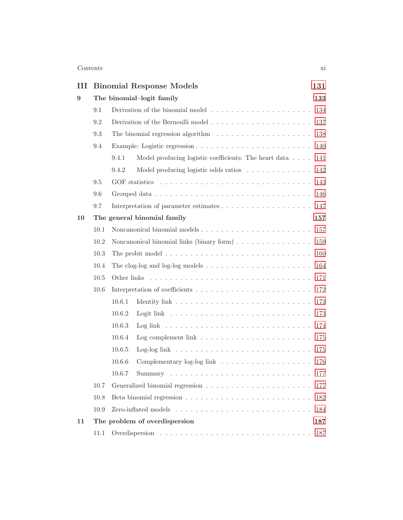| Ш  |      | <b>Binomial Response Models</b>                                                          | 131 |
|----|------|------------------------------------------------------------------------------------------|-----|
| 9  |      | The binomial-logit family                                                                | 133 |
|    | 9.1  | Derivation of the binomial model $\dots \dots \dots \dots \dots \dots \dots$             | 134 |
|    | 9.2  |                                                                                          | 137 |
|    | 9.3  | The binomial regression algorithm $\ldots \ldots \ldots \ldots \ldots \ldots$            | 138 |
|    | 9.4  |                                                                                          | 140 |
|    |      | Model producing logistic coefficients: The heart data<br>9.4.1                           | 141 |
|    |      | Model producing logistic odds ratios<br>9.4.2                                            | 142 |
|    | 9.5  |                                                                                          | 143 |
|    | 9.6  |                                                                                          | 146 |
|    | 9.7  |                                                                                          | 147 |
| 10 |      | The general binomial family                                                              | 157 |
|    | 10.1 | Noncanonical binomial models                                                             | 157 |
|    | 10.2 | Noncanonical binomial links (binary form) $\ldots \ldots \ldots \ldots$                  | 159 |
|    | 10.3 | The probit model $\ldots \ldots \ldots \ldots \ldots \ldots \ldots \ldots \ldots \ldots$ | 160 |
|    | 10.4 |                                                                                          | 164 |
|    | 10.5 |                                                                                          | 171 |
|    | 10.6 |                                                                                          | 172 |
|    |      | 10.6.1                                                                                   | 173 |
|    |      | 10.6.2                                                                                   | 173 |
|    |      | 10.6.3                                                                                   | 174 |
|    |      | 10.6.4                                                                                   | 175 |
|    |      | 10.6.5<br>Log-log link $\ldots \ldots \ldots \ldots \ldots \ldots \ldots \ldots \ldots$  | 175 |
|    |      | 10.6.6                                                                                   | 176 |
|    |      | 10.6.7                                                                                   | 177 |
|    | 10.7 |                                                                                          | 177 |
|    | 10.8 |                                                                                          | 182 |
|    | 10.9 |                                                                                          | 184 |
| 11 |      | The problem of overdispersion                                                            | 187 |
|    | 11.1 |                                                                                          | 187 |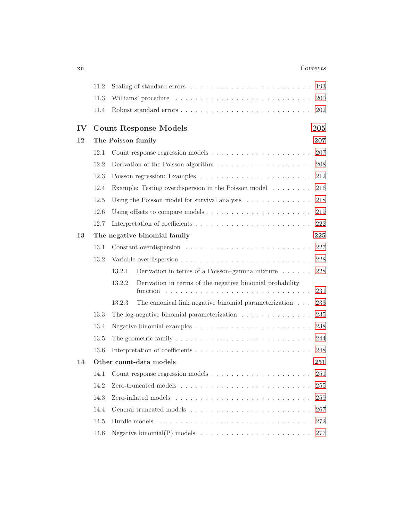### xii Contents

|           | 11.2 | Scaling of standard errors $\dots \dots \dots \dots \dots \dots \dots \dots$       | 193        |
|-----------|------|------------------------------------------------------------------------------------|------------|
|           | 11.3 |                                                                                    | <b>200</b> |
|           | 11.4 |                                                                                    | 202        |
| $\bf{IV}$ |      | 205<br><b>Count Response Models</b>                                                |            |
| 12        |      | The Poisson family<br>207                                                          |            |
|           | 12.1 |                                                                                    | 207        |
|           | 12.2 |                                                                                    | 208        |
|           | 12.3 |                                                                                    | 212        |
|           | 12.4 | Example: Testing overdispersion in the Poisson model                               | 216        |
|           | 12.5 | Using the Poisson model for survival analysis $\ldots \ldots \ldots \ldots$        | 218        |
|           | 12.6 |                                                                                    | 219        |
|           | 12.7 |                                                                                    | 222        |
| 13        |      | The negative binomial family<br>225                                                |            |
|           | 13.1 |                                                                                    | 227        |
|           | 13.2 |                                                                                    | 228        |
|           |      | 13.2.1<br>Derivation in terms of a Poisson-gamma mixture $\dots \dots$             | 228        |
|           |      | 13.2.2<br>Derivation in terms of the negative binomial probability                 |            |
|           |      |                                                                                    | 231        |
|           |      | 13.2.3<br>The canonical link negative binomial parameterization                    | 233        |
|           | 13.3 | The log-negative binomial parameterization $\ldots \ldots \ldots \ldots$           | 235        |
|           | 13.4 | Negative binomial examples $\dots \dots \dots \dots \dots \dots \dots \dots$       | 238        |
|           | 13.5 | The geometric family $\dots \dots \dots \dots \dots \dots \dots \dots \dots \dots$ | 244        |
|           | 13.6 |                                                                                    | 248        |
| 14        |      | Other count-data models<br>251                                                     |            |
|           | 14.1 |                                                                                    | 251        |
|           | 14.2 |                                                                                    | 255        |
|           | 14.3 |                                                                                    | 259        |
|           | 14.4 |                                                                                    | 267        |
|           | 14.5 |                                                                                    | 272        |
|           | 14.6 | Negative binomial(P) models $\dots \dots \dots \dots \dots \dots \dots \dots$      | 277        |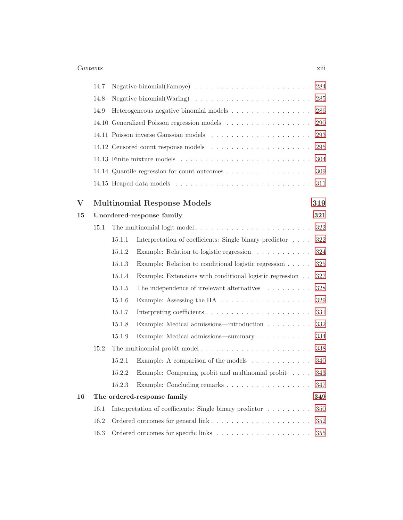### $\label{eq:3} \textit{Contents} \qquad \qquad \text{xiii}$

|             | 14.7 |        | Negative binomial(Famoye) $\ldots \ldots \ldots \ldots \ldots \ldots \ldots \ldots$       | 284     |
|-------------|------|--------|-------------------------------------------------------------------------------------------|---------|
|             | 14.8 |        | Negative binomial(Waring) $\ldots \ldots \ldots \ldots \ldots \ldots \ldots \ldots$       | 285     |
|             | 14.9 |        | Heterogeneous negative binomial models $\hfill\ldots\ldots\ldots\ldots\ldots\ldots\ldots$ | 286     |
|             |      |        | 14.10 Generalized Poisson regression models                                               | 290     |
|             |      |        |                                                                                           | $\,293$ |
|             |      |        |                                                                                           | 295     |
|             |      |        |                                                                                           | 304     |
|             |      |        | 14.14 Quantile regression for count outcomes                                              | 309     |
|             |      |        |                                                                                           | 311     |
| $\mathbf V$ |      |        | <b>Multinomial Response Models</b>                                                        | 319     |
| $15\,$      |      |        | Unordered-response family                                                                 | 321     |
|             | 15.1 |        | The multinomial logit model                                                               | 322     |
|             |      | 15.1.1 | Interpretation of coefficients: Single binary predictor                                   | 322     |
|             |      | 15.1.2 | Example: Relation to logistic regression                                                  | 324     |
|             |      | 15.1.3 | Example: Relation to conditional logistic regression                                      | 325     |
|             |      | 15.1.4 | Example: Extensions with conditional logistic regression                                  | 327     |
|             |      | 15.1.5 | The independence of irrelevant alternatives                                               | 328     |
|             |      | 15.1.6 | Example: Assessing the IIA $\ldots \ldots \ldots \ldots \ldots \ldots$                    | 329     |
|             |      | 15.1.7 |                                                                                           | 331     |
|             |      | 15.1.8 | Example: Medical admissions—introduction                                                  | 332     |
|             |      | 15.1.9 | Example: Medical admissions—summary                                                       | 334     |
|             | 15.2 |        | The multinomial probit model $\dots \dots \dots \dots \dots \dots \dots \dots$            | 338     |
|             |      | 15.2.1 | Example: A comparison of the models                                                       | 340     |
|             |      | 15.2.2 | Example: Comparing probit and multinomial probit                                          | 343     |
|             |      | 15.2.3 |                                                                                           | 347     |
| 16          |      |        | The ordered-response family                                                               | 349     |
|             | 16.1 |        | Interpretation of coefficients: Single binary predictor                                   | 350     |
|             | 16.2 |        | Ordered outcomes for general link                                                         | 352     |
|             | 16.3 |        |                                                                                           | 355     |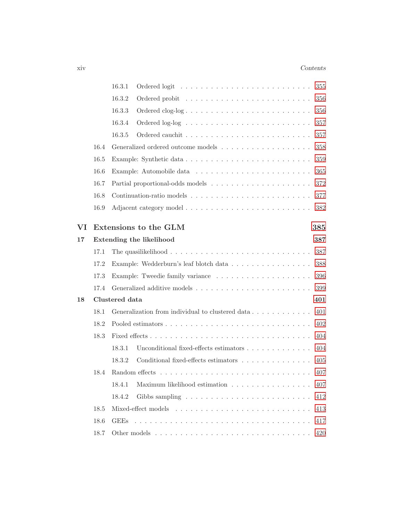### xiv Contents

|    |      | 16.3.1<br>355                                                                               |
|----|------|---------------------------------------------------------------------------------------------|
|    |      | 16.3.2<br>356                                                                               |
|    |      | 16.3.3<br>356                                                                               |
|    |      | 16.3.4<br>357                                                                               |
|    |      | 16.3.5<br>357                                                                               |
|    | 16.4 | Generalized ordered outcome models $\ldots \ldots \ldots \ldots \ldots \ldots$<br>358       |
|    | 16.5 | 359                                                                                         |
|    | 16.6 | 365                                                                                         |
|    | 16.7 | 372                                                                                         |
|    | 16.8 | 377                                                                                         |
|    | 16.9 | 382                                                                                         |
|    |      |                                                                                             |
| VI |      | Extensions to the GLM<br>385                                                                |
| 17 |      | Extending the likelihood<br>387                                                             |
|    | 17.1 | The quasilikelihood $\ldots \ldots \ldots \ldots \ldots \ldots \ldots \ldots \ldots$<br>387 |
|    | 17.2 | Example: Wedderburn's leaf blotch data<br>388                                               |
|    | 17.3 | 396                                                                                         |
|    | 17.4 | 399                                                                                         |
| 18 |      | Clustered data<br>401                                                                       |
|    | 18.1 | Generalization from individual to clustered data<br>401                                     |
|    | 18.2 | 402                                                                                         |
|    | 18.3 | 404                                                                                         |
|    |      | 18.3.1<br>Unconditional fixed-effects estimators $\ldots \ldots \ldots \ldots$<br>404       |
|    |      | Conditional fixed-effects estimators $\ldots \ldots \ldots \ldots \ldots$<br>18.3.2<br>405  |
|    | 18.4 | 407                                                                                         |
|    |      | 18.4.1<br>Maximum likelihood estimation<br>407                                              |
|    |      | 18.4.2<br>Gibbs sampling $\ldots \ldots \ldots \ldots \ldots \ldots \ldots \ldots$<br>412   |
|    | 18.5 | 413                                                                                         |
|    | 18.6 | GEEs<br>417                                                                                 |
|    | 18.7 | 420                                                                                         |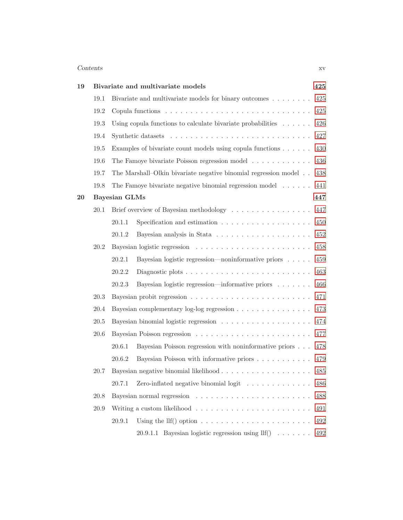### Contents xv

| 19 |          | Bivariate and multivariate models<br>425                                           |     |
|----|----------|------------------------------------------------------------------------------------|-----|
|    | 19.1     | Bivariate and multivariate models for binary outcomes $\ldots \ldots$              | 425 |
|    | 19.2     |                                                                                    | 425 |
|    | 19.3     | Using copula functions to calculate bivariate probabilities $\ldots \ldots$        | 426 |
|    | 19.4     |                                                                                    | 427 |
|    | 19.5     | Examples of bivariate count models using copula functions $\ldots \ldots$          | 430 |
|    | 19.6     | The Famoye bivariate Poisson regression model                                      | 436 |
|    | 19.7     | The Marshall–Olkin bivariate negative binomial regression model                    | 438 |
|    | 19.8     | The Famoye bivariate negative binomial regression model $\ldots \ldots$            | 441 |
| 20 |          | <b>Bayesian GLMs</b><br>447                                                        |     |
|    | 20.1     | Brief overview of Bayesian methodology                                             | 447 |
|    |          | Specification and estimation $\ldots \ldots \ldots \ldots \ldots \ldots$<br>20.1.1 | 450 |
|    |          | 20.1.2                                                                             | 452 |
|    | 20.2     |                                                                                    | 458 |
|    |          | 20.2.1<br>Bayesian logistic regression—noninformative priors                       | 459 |
|    |          | 20.2.2                                                                             | 463 |
|    |          | 20.2.3<br>Bayesian logistic regression—informative priors $\ldots \ldots$          | 466 |
|    | 20.3     |                                                                                    | 471 |
|    | 20.4     | Bayesian complementary log-log regression                                          | 473 |
|    | $20.5\,$ |                                                                                    | 474 |
|    | $20.6\,$ |                                                                                    | 477 |
|    |          | 20.6.1<br>Bayesian Poisson regression with noninformative priors                   | 478 |
|    |          | Bayesian Poisson with informative priors $\ldots \ldots \ldots$<br>20.6.2          | 479 |
|    | 20.7     |                                                                                    | 485 |
|    |          | Zero-inflated negative binomial logit $\ldots \ldots \ldots \ldots$<br>20.7.1      | 486 |
|    | 20.8     |                                                                                    | 488 |
|    | 20.9     |                                                                                    | 491 |
|    |          | 20.9.1                                                                             | 492 |
|    |          | 20.9.1.1 Bayesian logistic regression using $llf($ )                               | 492 |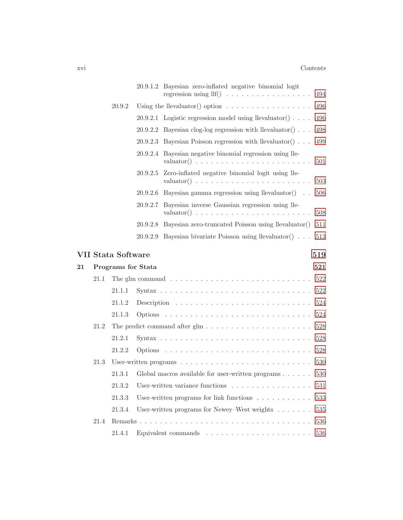|        |          | 20.9.1.2 Bayesian zero-inflated negative binomial logit                                                                            | 494 |
|--------|----------|------------------------------------------------------------------------------------------------------------------------------------|-----|
| 20.9.2 |          | Using the llevaluator() option $\dots \dots \dots \dots \dots \dots$                                                               | 496 |
|        |          | 20.9.2.1 Logistic regression model using llevaluator() $\ldots$ .                                                                  | 496 |
|        |          | $20.9.2.2$ Bayesian clog-log regression with llevaluator()                                                                         | 498 |
|        |          | 20.9.2.3 Bayesian Poisson regression with llevaluator()                                                                            | 499 |
|        | 20.9.2.4 | Bayesian negative binomial regression using lle-<br>valuator $() \ldots \ldots \ldots \ldots \ldots \ldots \ldots \ldots$          | 501 |
|        |          | 20.9.2.5 Zero-inflated negative binomial logit using lle-<br>valuator $() \ldots \ldots \ldots \ldots \ldots \ldots \ldots \ldots$ | 503 |
|        |          | 20.9.2.6 Bayesian gamma regression using llevaluator()                                                                             | 506 |
|        | 20.9.2.7 | Bayesian inverse Gaussian regression using lle-<br>valuator $() \ldots \ldots \ldots \ldots \ldots \ldots \ldots \ldots$           | 508 |
|        |          | 20.9.2.8 Bayesian zero-truncated Poisson using llevaluator()                                                                       | 511 |
|        | 20.9.2.9 | Bayesian bivariate Poisson using $llevaluator() \dots$                                                                             | 513 |
|        |          |                                                                                                                                    |     |

# $VII$  Stata Software  $519\,$

| 21 |      | Programs for Stata<br>521 |                                                                                                  |  |  |  |
|----|------|---------------------------|--------------------------------------------------------------------------------------------------|--|--|--|
|    |      |                           | 21.1 The glm command $\ldots \ldots \ldots \ldots \ldots \ldots \ldots \ldots \ldots \ldots 522$ |  |  |  |
|    |      | 21.1.1                    |                                                                                                  |  |  |  |
|    |      | 21.1.2                    |                                                                                                  |  |  |  |
|    |      | 21.1.3                    |                                                                                                  |  |  |  |
|    | 21.2 |                           | The predict command after glm $\ldots \ldots \ldots \ldots \ldots \ldots \ldots 528$             |  |  |  |
|    |      | 21.2.1                    |                                                                                                  |  |  |  |
|    |      | 21.2.2                    |                                                                                                  |  |  |  |
|    | 21.3 |                           | User-written programs $\ldots \ldots \ldots \ldots \ldots \ldots \ldots \ldots \ldots 530$       |  |  |  |
|    |      | 21.3.1                    | Global macros available for user-written programs $\ldots \ldots$ 530                            |  |  |  |
|    |      | 21.3.2                    | User-written variance functions $\ldots \ldots \ldots \ldots \ldots 531$                         |  |  |  |
|    |      | 21.3.3                    | User-written programs for link functions $\ldots \ldots \ldots \ldots 533$                       |  |  |  |
|    |      | 21.3.4                    | User-written programs for Newey-West weights $\ldots \ldots \ldots 535$                          |  |  |  |
|    | 21.4 |                           |                                                                                                  |  |  |  |
|    |      | 21.4.1                    | Equivalent commands $\ldots \ldots \ldots \ldots \ldots \ldots \ldots \ldots 536$                |  |  |  |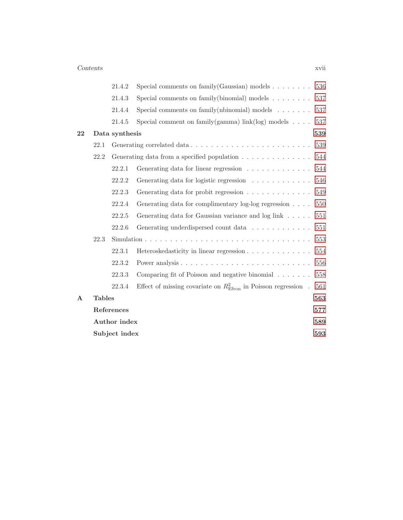|              |               | 21.4.2         | Special comments on family (Gaussian) models $\ldots \ldots$               | 536 |
|--------------|---------------|----------------|----------------------------------------------------------------------------|-----|
|              |               | 21.4.3         | Special comments on family (binomial) models $\ldots \ldots$               | 537 |
|              |               | 21.4.4         | Special comments on family (notinomial) models $\ldots \ldots$             | 537 |
|              |               | 21.4.5         | Special comment on family (gamma) $link(log)$ models $\ldots$ .            | 537 |
| 22           |               | Data synthesis |                                                                            | 539 |
|              | 22.1          |                | Generating correlated data                                                 | 539 |
|              | 22.2          |                | Generating data from a specified population $\ldots \ldots \ldots \ldots$  | 544 |
|              |               | 22.2.1         | Generating data for linear regression                                      | 544 |
|              |               | 22.2.2         | Generating data for logistic regression                                    | 546 |
|              |               | 22.2.3         | Generating data for probit regression                                      | 549 |
|              |               | 22.2.4         | Generating data for complimentary log-log regression                       | 550 |
|              |               | 22.2.5         | Generating data for Gaussian variance and log link                         | 551 |
|              |               | 22.2.6         | Generating underdispersed count data                                       | 551 |
|              | 22.3          |                |                                                                            | 553 |
|              |               | 22.3.1         | Heteroskedasticity in linear regression                                    | 554 |
|              |               | 22.3.2         |                                                                            | 556 |
|              |               | 22.3.3         | Comparing fit of Poisson and negative binomial $\ldots \ldots$             | 558 |
|              |               | 22.3.4         | Effect of missing covariate on $R_{\text{Efron}}^2$ in Poisson regression. | 561 |
| $\mathbf{A}$ | <b>Tables</b> |                |                                                                            | 563 |
|              |               | References     |                                                                            | 577 |
|              |               | Author index   |                                                                            | 589 |
|              |               | Subject index  |                                                                            | 593 |
|              |               |                |                                                                            |     |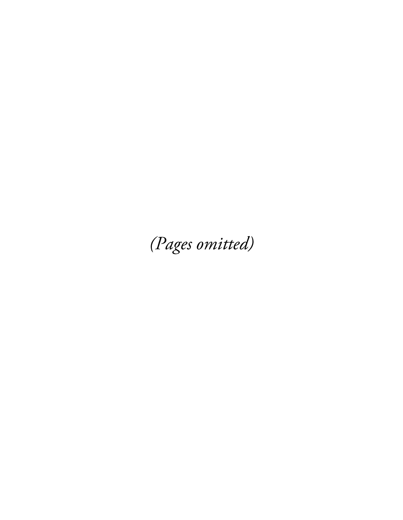(Pages omitted)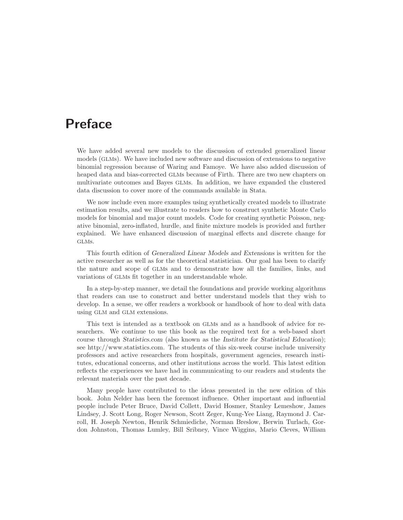# Preface

We have added several new models to the discussion of extended generalized linear models (GLMs). We have included new software and discussion of extensions to negative binomial regression because of Waring and Famoye. We have also added discussion of heaped data and bias-corrected GLMs because of Firth. There are two new chapters on multivariate outcomes and Bayes GLMs. In addition, we have expanded the clustered data discussion to cover more of the commands available in Stata.

We now include even more examples using synthetically created models to illustrate estimation results, and we illustrate to readers how to construct synthetic Monte Carlo models for binomial and major count models. Code for creating synthetic Poisson, negative binomial, zero-inflated, hurdle, and finite mixture models is provided and further explained. We have enhanced discussion of marginal effects and discrete change for GLMs.

This fourth edition of Generalized Linear Models and Extensions is written for the active researcher as well as for the theoretical statistician. Our goal has been to clarify the nature and scope of GLMs and to demonstrate how all the families, links, and variations of GLMs fit together in an understandable whole.

In a step-by-step manner, we detail the foundations and provide working algorithms that readers can use to construct and better understand models that they wish to develop. In a sense, we offer readers a workbook or handbook of how to deal with data using GLM and GLM extensions.

This text is intended as a textbook on GLMs and as a handbook of advice for researchers. We continue to use this book as the required text for a web-based short course through Statistics.com (also known as the Institute for Statistical Education); see http://www.statistics.com. The students of this six-week course include university professors and active researchers from hospitals, government agencies, research institutes, educational concerns, and other institutions across the world. This latest edition reflects the experiences we have had in communicating to our readers and students the relevant materials over the past decade.

Many people have contributed to the ideas presented in the new edition of this book. John Nelder has been the foremost influence. Other important and influential people include Peter Bruce, David Collett, David Hosmer, Stanley Lemeshow, James Lindsey, J. Scott Long, Roger Newson, Scott Zeger, Kung-Yee Liang, Raymond J. Carroll, H. Joseph Newton, Henrik Schmiediche, Norman Breslow, Berwin Turlach, Gordon Johnston, Thomas Lumley, Bill Sribney, Vince Wiggins, Mario Cleves, William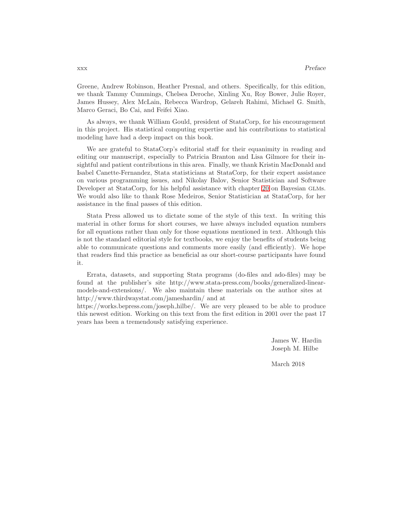Greene, Andrew Robinson, Heather Presnal, and others. Specifically, for this edition, we thank Tammy Cummings, Chelsea Deroche, Xinling Xu, Roy Bower, Julie Royer, James Hussey, Alex McLain, Rebecca Wardrop, Gelareh Rahimi, Michael G. Smith, Marco Geraci, Bo Cai, and Feifei Xiao.

As always, we thank William Gould, president of StataCorp, for his encouragement in this project. His statistical computing expertise and his contributions to statistical modeling have had a deep impact on this book.

We are grateful to StataCorp's editorial staff for their equanimity in reading and editing our manuscript, especially to Patricia Branton and Lisa Gilmore for their insightful and patient contributions in this area. Finally, we thank Kristin MacDonald and Isabel Canette-Fernandez, Stata statisticians at StataCorp, for their expert assistance on various programming issues, and Nikolay Balov, Senior Statistician and Software Developer at StataCorp, for his helpful assistance with chapter 20 on Bayesian GLMs. We would also like to thank Rose Medeiros, Senior Statistician at StataCorp, for her assistance in the final passes of this edition.

Stata Press allowed us to dictate some of the style of this text. In writing this material in other forms for short courses, we have always included equation numbers for all equations rather than only for those equations mentioned in text. Although this is not the standard editorial style for textbooks, we enjoy the benefits of students being able to communicate questions and comments more easily (and efficiently). We hope that readers find this practice as beneficial as our short-course participants have found it.

Errata, datasets, and supporting Stata programs (do-files and ado-files) may be found at the publisher's site http://www.stata-press.com/books/generalized-linearmodels-and-extensions/. We also maintain these materials on the author sites at http://www.thirdwaystat.com/jameshardin/ and at

https://works.bepress.com/joseph hilbe/. We are very pleased to be able to produce this newest edition. Working on this text from the first edition in 2001 over the past 17 years has been a tremendously satisfying experience.

> James W. Hardin Joseph M. Hilbe

March 2018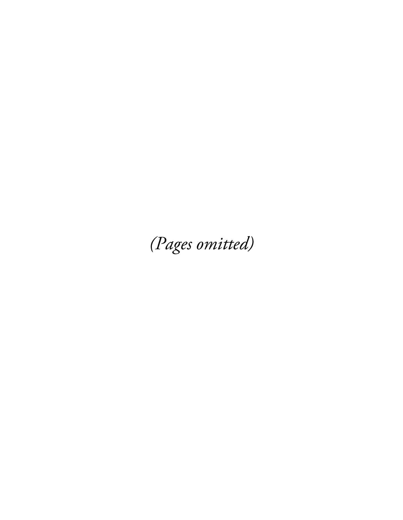(Pages omitted)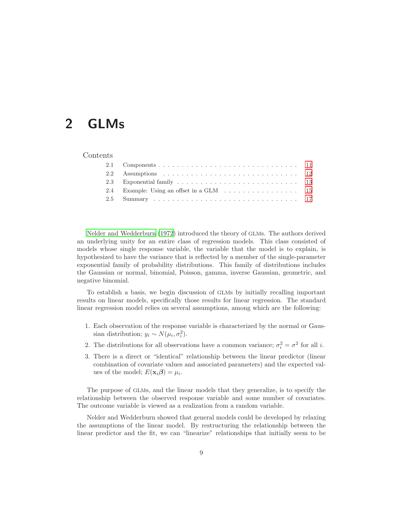# 2 GLMs

### Contents

| 2.4 Example: Using an offset in a GLM $\ldots \ldots \ldots \ldots \ldots \ldots$ 15 |  |
|--------------------------------------------------------------------------------------|--|
|                                                                                      |  |
|                                                                                      |  |

Nelder and Wedderburn (1972) introduced the theory of GLMs. The authors derived an underlying unity for an entire class of regression models. This class consisted of models whose single response variable, the variable that the model is to explain, is hypothesized to have the variance that is reflected by a member of the single-parameter exponential family of probability distributions. This family of distributions includes the Gaussian or normal, binomial, Poisson, gamma, inverse Gaussian, geometric, and negative binomial.

To establish a basis, we begin discussion of GLMs by initially recalling important results on linear models, specifically those results for linear regression. The standard linear regression model relies on several assumptions, among which are the following:

- 1. Each observation of the response variable is characterized by the normal or Gaussian distribution;  $y_i \sim N(\mu_i, \sigma_i^2)$ .
- 2. The distributions for all observations have a common variance;  $\sigma_i^2 = \sigma^2$  for all *i*.
- 3. There is a direct or "identical" relationship between the linear predictor (linear combination of covariate values and associated parameters) and the expected values of the model;  $E(\mathbf{x}_i \boldsymbol{\beta}) = \mu_i$ .

The purpose of GLMs, and the linear models that they generalize, is to specify the relationship between the observed response variable and some number of covariates. The outcome variable is viewed as a realization from a random variable.

Nelder and Wedderburn showed that general models could be developed by relaxing the assumptions of the linear model. By restructuring the relationship between the linear predictor and the fit, we can "linearize" relationships that initially seem to be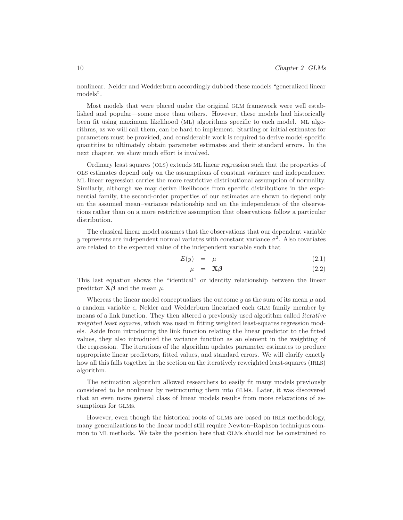nonlinear. Nelder and Wedderburn accordingly dubbed these models "generalized linear models".

Most models that were placed under the original GLM framework were well established and popular—some more than others. However, these models had historically been fit using maximum likelihood (ML) algorithms specific to each model. ML algorithms, as we will call them, can be hard to implement. Starting or initial estimates for parameters must be provided, and considerable work is required to derive model-specific quantities to ultimately obtain parameter estimates and their standard errors. In the next chapter, we show much effort is involved.

Ordinary least squares (OLS) extends ML linear regression such that the properties of OLS estimates depend only on the assumptions of constant variance and independence. ML linear regression carries the more restrictive distributional assumption of normality. Similarly, although we may derive likelihoods from specific distributions in the exponential family, the second-order properties of our estimates are shown to depend only on the assumed mean–variance relationship and on the independence of the observations rather than on a more restrictive assumption that observations follow a particular distribution.

The classical linear model assumes that the observations that our dependent variable y represents are independent normal variates with constant variance  $\sigma^2$ . Also covariates are related to the expected value of the independent variable such that

$$
E(y) = \mu \tag{2.1}
$$

$$
\mu = \mathbf{X}\boldsymbol{\beta} \tag{2.2}
$$

This last equation shows the "identical" or identity relationship between the linear predictor  $\mathbf{X}\boldsymbol{\beta}$  and the mean  $\mu$ .

Whereas the linear model conceptualizes the outcome  $y$  as the sum of its mean  $\mu$  and a random variable  $\epsilon$ , Nelder and Wedderburn linearized each GLM family member by means of a link function. They then altered a previously used algorithm called iterative weighted least squares, which was used in fitting weighted least-squares regression models. Aside from introducing the link function relating the linear predictor to the fitted values, they also introduced the variance function as an element in the weighting of the regression. The iterations of the algorithm updates parameter estimates to produce appropriate linear predictors, fitted values, and standard errors. We will clarify exactly how all this falls together in the section on the iteratively reweighted least-squares (IRLS) algorithm.

The estimation algorithm allowed researchers to easily fit many models previously considered to be nonlinear by restructuring them into GLMs. Later, it was discovered that an even more general class of linear models results from more relaxations of assumptions for GLMs.

However, even though the historical roots of GLMs are based on IRLS methodology, many generalizations to the linear model still require Newton–Raphson techniques common to ML methods. We take the position here that GLMs should not be constrained to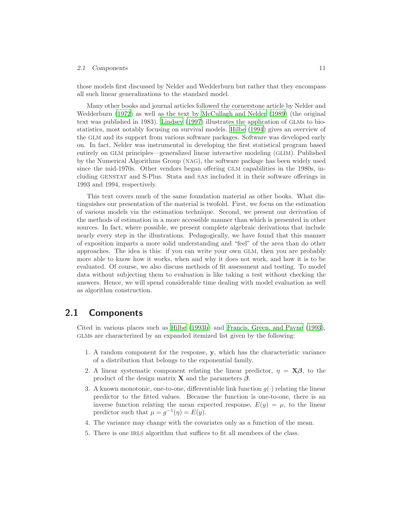#### 2.1 Components 11

those models first discussed by Nelder and Wedderburn but rather that they encompass all such linear generalizations to the standard model.

Many other books and journal articles followed the cornerstone article by Nelder and Wedderburn (1972) as well as the text by McCullagh and Nelder (1989) (the original text was published in 1983). Lindsey (1997) illustrates the application of GLMs to biostatistics, most notably focusing on survival models. Hilbe (1994) gives an overview of the GLM and its support from various software packages. Software was developed early on. In fact, Nelder was instrumental in developing the first statistical program based entirely on GLM principles—generalized linear interactive modeling (GLIM). Published by the Numerical Algorithms Group (NAG), the software package has been widely used since the mid-1970s. Other vendors began offering GLM capabilities in the 1980s, including GENSTAT and S-Plus. Stata and SAS included it in their software offerings in 1993 and 1994, respectively.

This text covers much of the same foundation material as other books. What distinguishes our presentation of the material is twofold. First, we focus on the estimation of various models via the estimation technique. Second, we present our derivation of the methods of estimation in a more accessible manner than which is presented in other sources. In fact, where possible, we present complete algebraic derivations that include nearly every step in the illustrations. Pedagogically, we have found that this manner of exposition imparts a more solid understanding and "feel" of the area than do other approaches. The idea is this: if you can write your own GLM, then you are probably more able to know how it works, when and why it does not work, and how it is to be evaluated. Of course, we also discuss methods of fit assessment and testing. To model data without subjecting them to evaluation is like taking a test without checking the answers. Hence, we will spend considerable time dealing with model evaluation as well as algorithm construction.

### 2.1 Components

Cited in various places such as Hilbe (1993b) and Francis, Green, and Payne (1993), GLMs are characterized by an expanded itemized list given by the following:

- 1. A random component for the response, y, which has the characteristic variance of a distribution that belongs to the exponential family.
- 2. A linear systematic component relating the linear predictor,  $\eta = \mathbf{X}\boldsymbol{\beta}$ , to the product of the design matrix **X** and the parameters  $\beta$ .
- 3. A known monotonic, one-to-one, differentiable link function  $g(\cdot)$  relating the linear predictor to the fitted values. Because the function is one-to-one, there is an inverse function relating the mean expected response,  $E(y) = \mu$ , to the linear predictor such that  $\mu = g^{-1}(\eta) = E(y)$ .
- 4. The variance may change with the covariates only as a function of the mean.
- 5. There is one IRLS algorithm that suffices to fit all members of the class.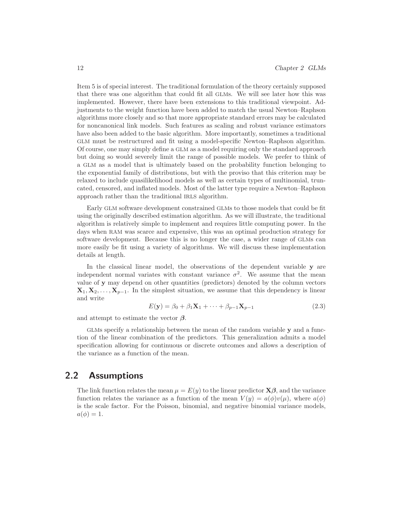Item 5 is of special interest. The traditional formulation of the theory certainly supposed that there was one algorithm that could fit all GLMs. We will see later how this was implemented. However, there have been extensions to this traditional viewpoint. Adjustments to the weight function have been added to match the usual Newton–Raphson algorithms more closely and so that more appropriate standard errors may be calculated for noncanonical link models. Such features as scaling and robust variance estimators have also been added to the basic algorithm. More importantly, sometimes a traditional GLM must be restructured and fit using a model-specific Newton–Raphson algorithm. Of course, one may simply define a GLM as a model requiring only the standard approach but doing so would severely limit the range of possible models. We prefer to think of a GLM as a model that is ultimately based on the probability function belonging to the exponential family of distributions, but with the proviso that this criterion may be relaxed to include quasilikelihood models as well as certain types of multinomial, truncated, censored, and inflated models. Most of the latter type require a Newton–Raphson approach rather than the traditional IRLS algorithm.

Early GLM software development constrained GLMs to those models that could be fit using the originally described estimation algorithm. As we will illustrate, the traditional algorithm is relatively simple to implement and requires little computing power. In the days when RAM was scarce and expensive, this was an optimal production strategy for software development. Because this is no longer the case, a wider range of GLMs can more easily be fit using a variety of algorithms. We will discuss these implementation details at length.

In the classical linear model, the observations of the dependent variable  $\bf{v}$  are independent normal variates with constant variance  $\sigma^2$ . We assume that the mean value of y may depend on other quantities (predictors) denoted by the column vectors  $\mathbf{X}_1, \mathbf{X}_2, \ldots, \mathbf{X}_{p-1}$ . In the simplest situation, we assume that this dependency is linear and write

$$
E(\mathbf{y}) = \beta_0 + \beta_1 \mathbf{X}_1 + \dots + \beta_{p-1} \mathbf{X}_{p-1}
$$
\n(2.3)

and attempt to estimate the vector  $\beta$ .

GLMs specify a relationship between the mean of the random variable y and a function of the linear combination of the predictors. This generalization admits a model specification allowing for continuous or discrete outcomes and allows a description of the variance as a function of the mean.

## 2.2 Assumptions

The link function relates the mean  $\mu = E(y)$  to the linear predictor  $\mathbf{X}\boldsymbol{\beta}$ , and the variance function relates the variance as a function of the mean  $V(y) = a(\phi)v(\mu)$ , where  $a(\phi)$ is the scale factor. For the Poisson, binomial, and negative binomial variance models,  $a(\phi) = 1.$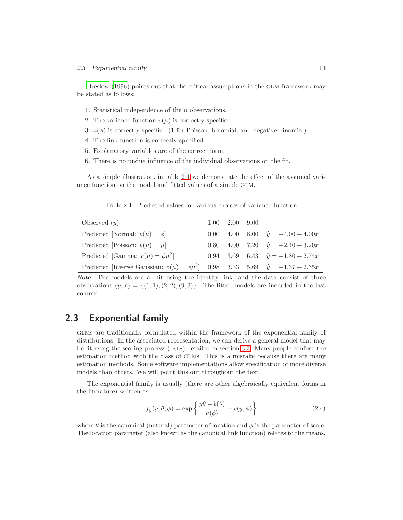Breslow (1996) points out that the critical assumptions in the GLM framework may be stated as follows:

- 1. Statistical independence of the n observations.
- 2. The variance function  $v(\mu)$  is correctly specified.
- 3.  $a(\phi)$  is correctly specified (1 for Poisson, binomial, and negative binomial).
- 4. The link function is correctly specified.
- 5. Explanatory variables are of the correct form.
- 6. There is no undue influence of the individual observations on the fit.

As a simple illustration, in table 2.1 we demonstrate the effect of the assumed variance function on the model and fitted values of a simple GLM.

Table 2.1. Predicted values for various choices of variance function

| Observed $(y)$                                                                                  | $1.00 \quad 2.00 \quad 9.00$ |                                          |
|-------------------------------------------------------------------------------------------------|------------------------------|------------------------------------------|
| Predicted [Normal: $v(\mu) = \phi$ ]                                                            |                              | 0.00 4.00 8.00 $\hat{y} = -4.00 + 4.00x$ |
| Predicted [Poisson: $v(\mu) = \mu$ ]                                                            |                              | 0.80 4.00 7.20 $\hat{y} = -2.40 + 3.20x$ |
| Predicted [Gamma: $v(\mu) = \phi \mu^2$ ]                                                       |                              | 0.94 3.69 6.43 $\hat{y} = -1.80 + 2.74x$ |
| Predicted [Inverse Gaussian: $v(\mu) = \phi \mu^{3}$ ] 0.98 3.33 5.69 $\hat{y} = -1.37 + 2.35x$ |                              |                                          |

Note: The models are all fit using the identity link, and the data consist of three observations  $(y, x) = \{(1, 1), (2, 2), (9, 3)\}.$  The fitted models are included in the last column.

# 2.3 Exponential family

GLMs are traditionally formulated within the framework of the exponential family of distributions. In the associated representation, we can derive a general model that may be fit using the scoring process (IRLS) detailed in section 3.3. Many people confuse the estimation method with the class of GLMs. This is a mistake because there are many estimation methods. Some software implementations allow specification of more diverse models than others. We will point this out throughout the text.

The exponential family is usually (there are other algebraically equivalent forms in the literature) written as

$$
f_y(y; \theta, \phi) = \exp\left\{\frac{y\theta - b(\theta)}{a(\phi)} + c(y, \phi)\right\}
$$
 (2.4)

where  $\theta$  is the canonical (natural) parameter of location and  $\phi$  is the parameter of scale. The location parameter (also known as the canonical link function) relates to the means,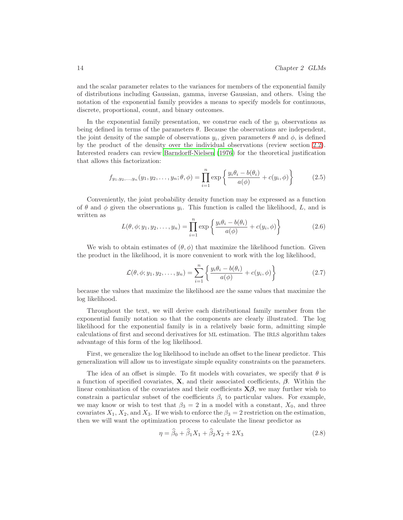and the scalar parameter relates to the variances for members of the exponential family of distributions including Gaussian, gamma, inverse Gaussian, and others. Using the notation of the exponential family provides a means to specify models for continuous, discrete, proportional, count, and binary outcomes.

In the exponential family presentation, we construe each of the  $y_i$  observations as being defined in terms of the parameters  $\theta$ . Because the observations are independent, the joint density of the sample of observations  $y_i$ , given parameters  $\theta$  and  $\phi$ , is defined by the product of the density over the individual observations (review section 2.2). Interested readers can review Barndorff-Nielsen (1976) for the theoretical justification that allows this factorization:

$$
f_{y_1, y_2, \dots, y_n}(y_1, y_2, \dots, y_n; \theta, \phi) = \prod_{i=1}^n \exp\left\{ \frac{y_i \theta_i - b(\theta_i)}{a(\phi)} + c(y_i, \phi) \right\}
$$
(2.5)

Conveniently, the joint probability density function may be expressed as a function of  $\theta$  and  $\phi$  given the observations  $y_i$ . This function is called the likelihood, L, and is written as

$$
L(\theta, \phi; y_1, y_2, \dots, y_n) = \prod_{i=1}^n \exp\left\{ \frac{y_i \theta_i - b(\theta_i)}{a(\phi)} + c(y_i, \phi) \right\}
$$
(2.6)

We wish to obtain estimates of  $(\theta, \phi)$  that maximize the likelihood function. Given the product in the likelihood, it is more convenient to work with the log likelihood,

$$
\mathcal{L}(\theta, \phi; y_1, y_2, \dots, y_n) = \sum_{i=1}^n \left\{ \frac{y_i \theta_i - b(\theta_i)}{a(\phi)} + c(y_i, \phi) \right\}
$$
(2.7)

because the values that maximize the likelihood are the same values that maximize the log likelihood.

Throughout the text, we will derive each distributional family member from the exponential family notation so that the components are clearly illustrated. The log likelihood for the exponential family is in a relatively basic form, admitting simple calculations of first and second derivatives for ML estimation. The IRLS algorithm takes advantage of this form of the log likelihood.

First, we generalize the log likelihood to include an offset to the linear predictor. This generalization will allow us to investigate simple equality constraints on the parameters.

The idea of an offset is simple. To fit models with covariates, we specify that  $\theta$  is a function of specified covariates,  $X$ , and their associated coefficients,  $\beta$ . Within the linear combination of the covariates and their coefficients  $X\beta$ , we may further wish to constrain a particular subset of the coefficients  $\beta_i$  to particular values. For example, we may know or wish to test that  $\beta_3 = 2$  in a model with a constant,  $X_0$ , and three covariates  $X_1, X_2$ , and  $X_3$ . If we wish to enforce the  $\beta_3 = 2$  restriction on the estimation, then we will want the optimization process to calculate the linear predictor as

$$
\eta = \beta_0 + \beta_1 X_1 + \beta_2 X_2 + 2X_3 \tag{2.8}
$$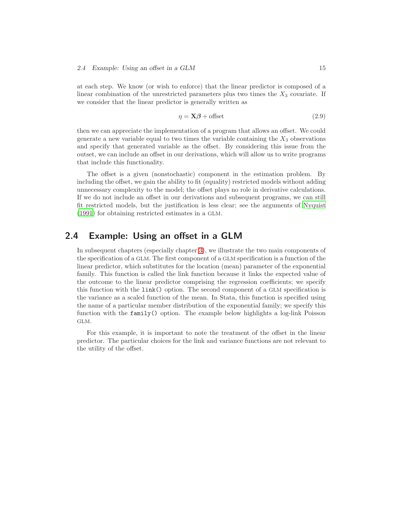at each step. We know (or wish to enforce) that the linear predictor is composed of a linear combination of the unrestricted parameters plus two times the  $X_3$  covariate. If we consider that the linear predictor is generally written as

$$
\eta = \mathbf{X}\boldsymbol{\beta} + \text{offset} \tag{2.9}
$$

then we can appreciate the implementation of a program that allows an offset. We could generate a new variable equal to two times the variable containing the  $X_3$  observations and specify that generated variable as the offset. By considering this issue from the outset, we can include an offset in our derivations, which will allow us to write programs that include this functionality.

The offset is a given (nonstochastic) component in the estimation problem. By including the offset, we gain the ability to fit (equality) restricted models without adding unnecessary complexity to the model; the offset plays no role in derivative calculations. If we do not include an offset in our derivations and subsequent programs, we can still fit restricted models, but the justification is less clear; see the arguments of Nyquist (1991) for obtaining restricted estimates in a GLM.

# 2.4 Example: Using an offset in a GLM

In subsequent chapters (especially chapter 3), we illustrate the two main components of the specification of a GLM. The first component of a GLM specification is a function of the linear predictor, which substitutes for the location (mean) parameter of the exponential family. This function is called the link function because it links the expected value of the outcome to the linear predictor comprising the regression coefficients; we specify this function with the link() option. The second component of a GLM specification is the variance as a scaled function of the mean. In Stata, this function is specified using the name of a particular member distribution of the exponential family; we specify this function with the family() option. The example below highlights a log-link Poisson GLM.

For this example, it is important to note the treatment of the offset in the linear predictor. The particular choices for the link and variance functions are not relevant to the utility of the offset.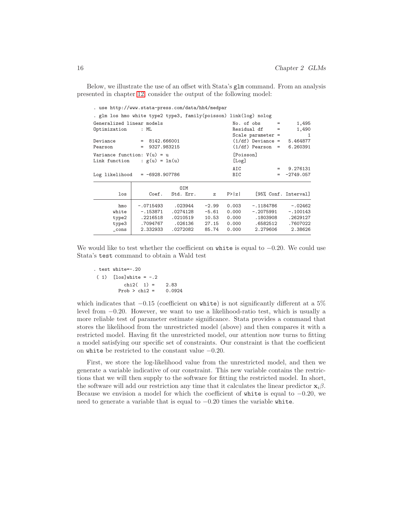Below, we illustrate the use of an offset with Stata's glm command. From an analysis presented in chapter 12, consider the output of the following model:

| . use http://www.stata-press.com/data/hh4/medpar                 |                  |           |              |            |                     |               |                              |
|------------------------------------------------------------------|------------------|-----------|--------------|------------|---------------------|---------------|------------------------------|
| . glm los hmo white type2 type3, family(poisson) link(log) nolog |                  |           |              |            |                     |               |                              |
| Generalized linear models                                        |                  |           |              | No. of obs |                     | $\sim$ $\sim$ | 1,495                        |
| Optimization                                                     | : ML             |           |              |            | Residual df         | $=$           | 1,490                        |
|                                                                  |                  |           |              |            | Scale parameter $=$ |               | 1                            |
| Deviance                                                         | $= 8142.666001$  |           |              |            |                     |               | $(1/df)$ Deviance = 5.464877 |
| Pearson                                                          | $= 9327.983215$  |           |              |            |                     |               | $(1/df)$ Pearson = 6.260391  |
| Variance function: $V(u) = u$                                    |                  |           |              | [Poisson]  |                     |               |                              |
| Link function                                                    | : $g(u) = ln(u)$ |           |              | [Log]      |                     |               |                              |
|                                                                  |                  |           |              | AIC        |                     |               | $= 9.276131$                 |
| Log likelihood<br>$= -6928.907786$                               |                  |           | <b>BIC</b>   |            |                     | $-2749.057$   |                              |
|                                                                  |                  | 0IM       |              |            |                     |               |                              |
| los                                                              | Coef.            | Std. Err. | $\mathbf{z}$ | P >  z     |                     |               | [95% Conf. Interval]         |
| hmo                                                              | $-.0715493$      | .023944   | $-2.99$      | 0.003      | $-.1184786$         |               | $-.02462$                    |
| white                                                            | $-.153871$       | .0274128  | $-5.61$      | 0.000      | $-.2075991$         |               | $-.100143$                   |
| type2                                                            | .2216518         | .0210519  | 10.53        | 0.000      | .1803908            |               | .2629127                     |
| type3                                                            | .7094767         | .026136   | 27.15        | 0.000      | .6582512            |               | .7607022                     |
| $\_cons$                                                         | 2.332933         | .0272082  | 85.74        | 0.000      | 2.279606            |               | 2.38626                      |
|                                                                  |                  |           |              |            |                     |               |                              |

We would like to test whether the coefficient on white is equal to  $-0.20$ . We could use Stata's test command to obtain a Wald test

```
. test white=-.20
(1) [los]white = -.2chi2( 1) = 2.83Prob > chi2 = 0.0924
```
which indicates that −0.15 (coefficient on white) is not significantly different at a 5% level from −0.20. However, we want to use a likelihood-ratio test, which is usually a more reliable test of parameter estimate significance. Stata provides a command that stores the likelihood from the unrestricted model (above) and then compares it with a restricted model. Having fit the unrestricted model, our attention now turns to fitting a model satisfying our specific set of constraints. Our constraint is that the coefficient on white be restricted to the constant value −0.20.

First, we store the log-likelihood value from the unrestricted model, and then we generate a variable indicative of our constraint. This new variable contains the restrictions that we will then supply to the software for fitting the restricted model. In short, the software will add our restriction any time that it calculates the linear predictor  $\mathbf{x}_i\beta$ . Because we envision a model for which the coefficient of white is equal to −0.20, we need to generate a variable that is equal to  $-0.20$  times the variable white.